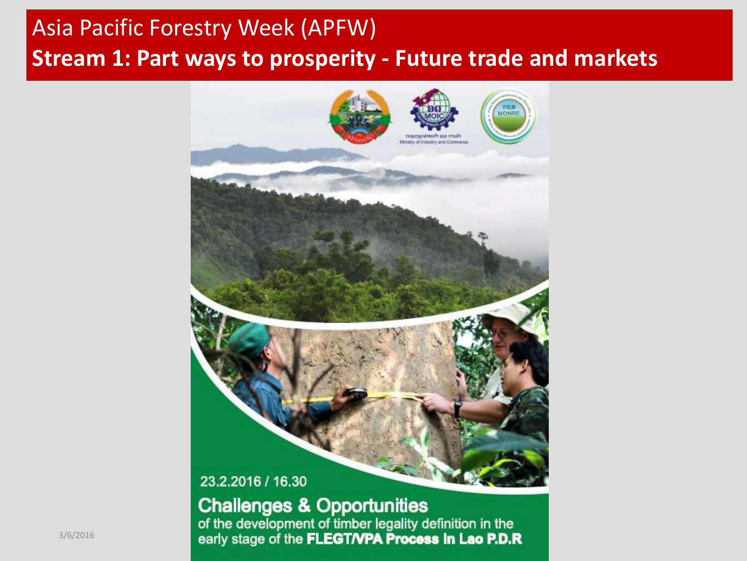#### Asia Pacific Forestry Week (APFW) **Stream 1: Part ways to prosperity - Future trade and markets**



**Challenges & Opportunities**<br>of the development of timber legality definition in the<br>early stage of the **FLEGT/VPA Process in Lao P.D.R**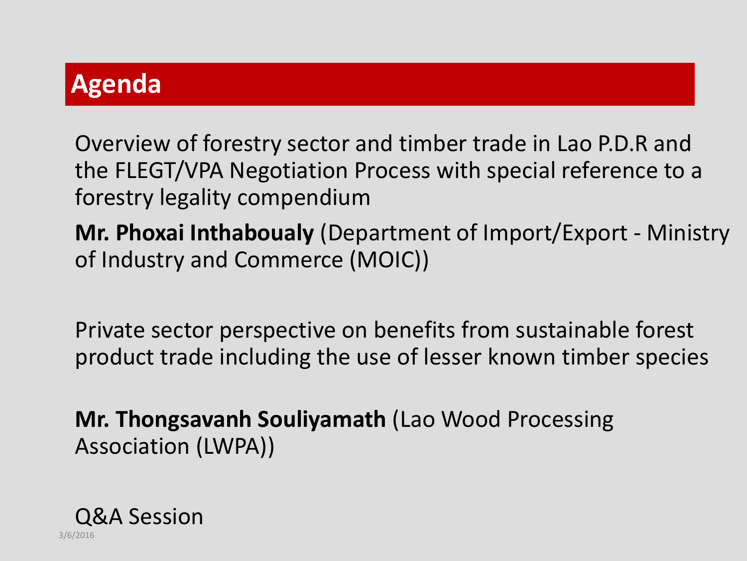## **Agenda**

Overview of forestry sector and timber trade in Lao P.D.R and the FLEGT/VPA Negotiation Process with special reference to a forestry legality compendium

**Mr. Phoxai Inthaboualy** (Department of Import/Export - Ministry of Industry and Commerce (MOIC))

Private sector perspective on benefits from sustainable forest product trade including the use of lesser known timber species

**Mr. Thongsavanh Souliyamath** (Lao Wood Processing Association (LWPA))

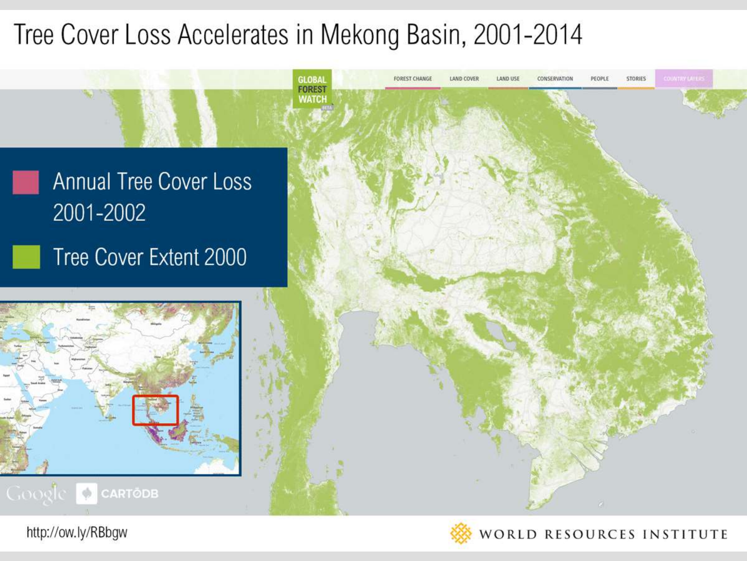# Tree Cover Loss Accelerates in Mekong Basin, 2001-2014

**GLOBAL** 

**FOREST** WATCH **FOREST CHANGE** 

LAND COVE

**LAND USI** 

CONSERVATIO

**Annual Tree Cover Loss** 2001-2002

Tree Cover Extent 2000



http://ow.ly/RBbgw



WORLD RESOURCES INSTITUTE

**STORIES** 

PEOPLE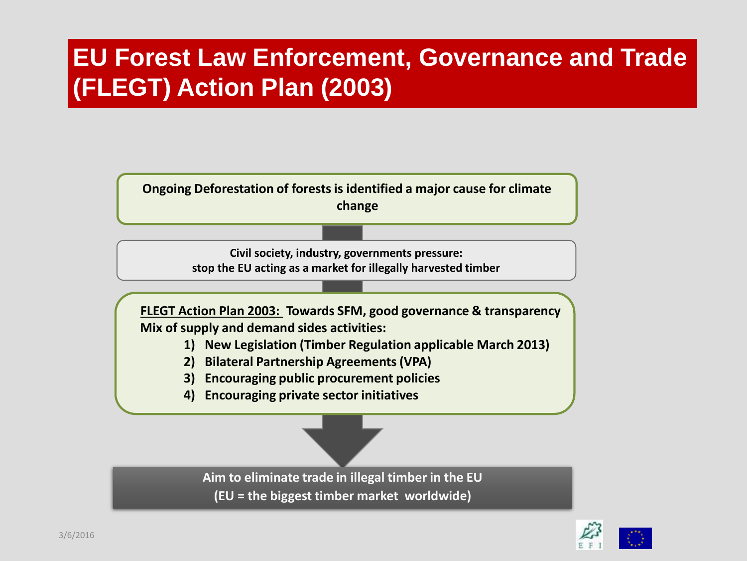### **EU Forest Law Enforcement, Governance and Trade (FLEGT) Action Plan (2003)**



**Civil society, industry, governments pressure: stop the EU acting as a market for illegally harvested timber**

**FLEGT Action Plan 2003: Towards SFM, good governance & transparency Mix of supply and demand sides activities:**

- **1) New Legislation (Timber Regulation applicable March 2013)**
- **2) Bilateral Partnership Agreements (VPA)**
- **3) Encouraging public procurement policies**
- **4) Encouraging private sector initiatives**

**Aim to eliminate trade in illegal timber in the EU (EU = the biggest timber market worldwide)**

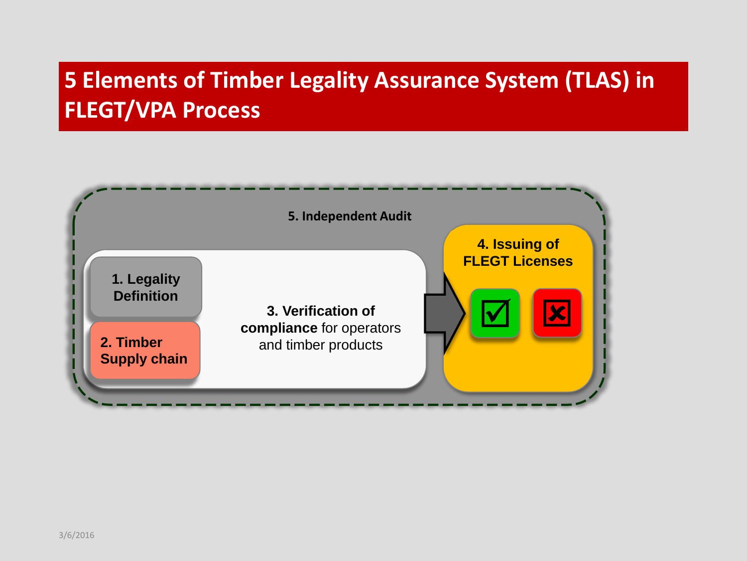#### **5 Elements of Timber Legality Assurance System (TLAS) in FLEGT/VPA Process**

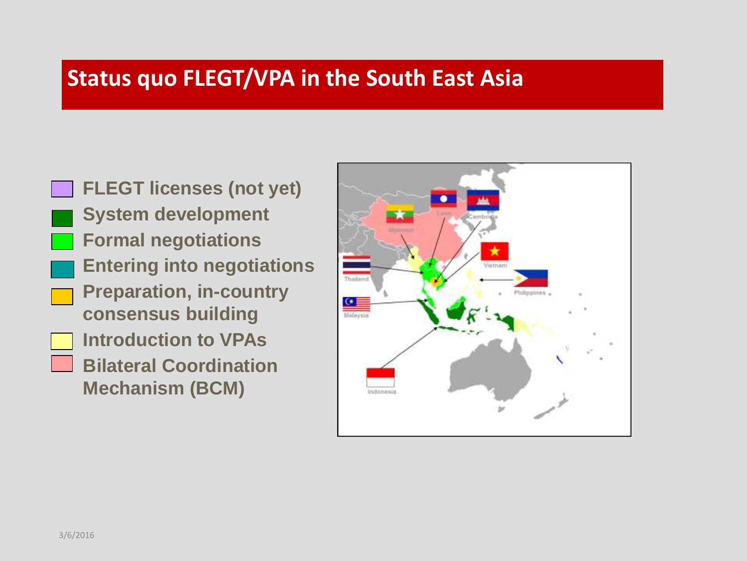#### **Status quo FLEGT/VPA in the South East Asia**

**FLEGT licenses (not yet) System development Formal negotiations Entering into negotiations Preparation, in-country consensus building Introduction to VPAs Bilateral Coordination Mechanism (BCM)**

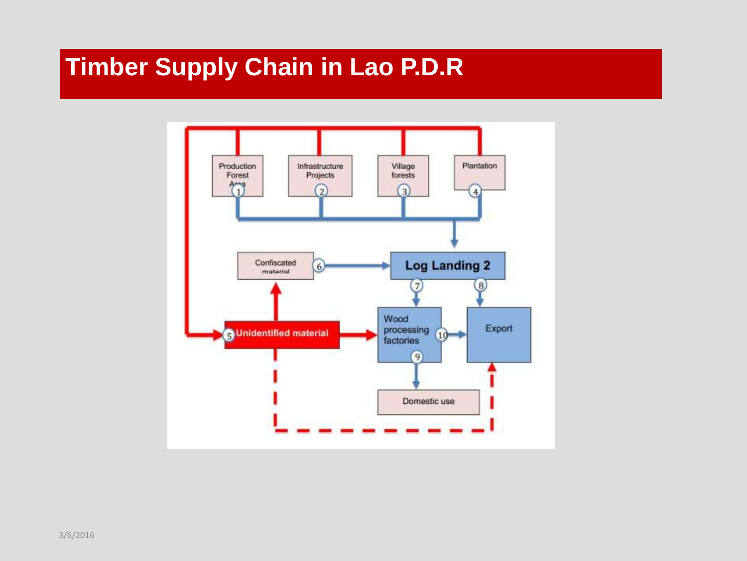#### **Timber Supply Chain in Lao P.D.R**